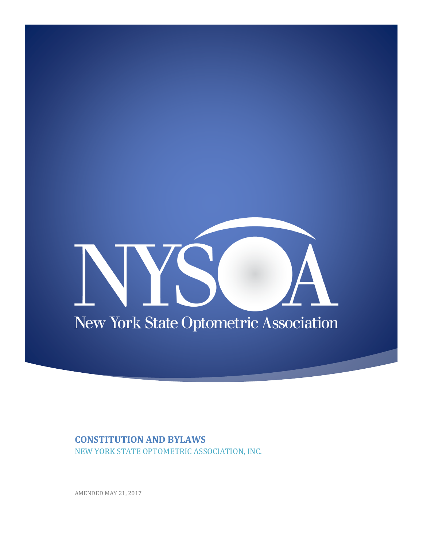# $\mathcal{L}^{\mathcal{A}}$ New York State Optometric Association

## **CONSTITUTION AND BYLAWS**

NEW YORK STATE OPTOMETRIC ASSOCIATION, INC.

AMENDED MAY 21, 2017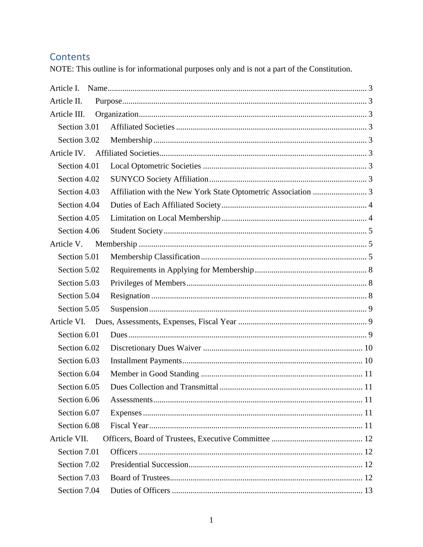# Contents

NOTE: This outline is for informational purposes only and is not a part of the Constitution.

| Article L    |  |
|--------------|--|
| Article II.  |  |
| Article III. |  |
| Section 3.01 |  |
| Section 3.02 |  |
|              |  |
| Section 4.01 |  |
| Section 4.02 |  |
| Section 4.03 |  |
| Section 4.04 |  |
| Section 4.05 |  |
| Section 4.06 |  |
| Article V.   |  |
| Section 5.01 |  |
| Section 5.02 |  |
| Section 5.03 |  |
| Section 5.04 |  |
| Section 5.05 |  |
|              |  |
| Section 6.01 |  |
| Section 6.02 |  |
| Section 6.03 |  |
| Section 6.04 |  |
| Section 6.05 |  |
| Section 6.06 |  |
| Section 6.07 |  |
| Section 6.08 |  |
| Article VII. |  |
| Section 7.01 |  |
| Section 7.02 |  |
| Section 7.03 |  |
| Section 7.04 |  |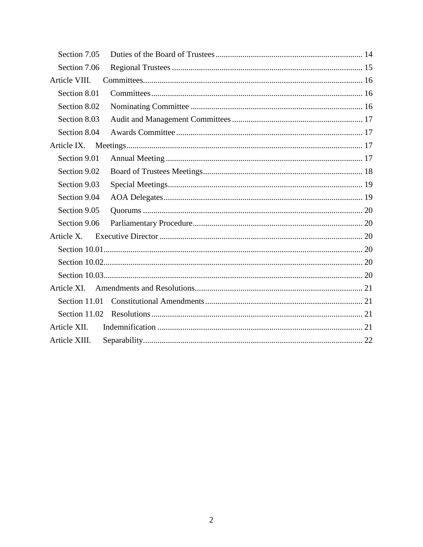| Section 7.05  |  |
|---------------|--|
| Section 7.06  |  |
| Article VIII. |  |
| Section 8.01  |  |
| Section 8.02  |  |
| Section 8.03  |  |
| Section 8.04  |  |
| Article IX.   |  |
| Section 9.01  |  |
| Section 9.02  |  |
| Section 9.03  |  |
| Section 9.04  |  |
| Section 9.05  |  |
| Section 9.06  |  |
| Article X.    |  |
|               |  |
|               |  |
|               |  |
| Article XI.   |  |
| Section 11.01 |  |
| Section 11.02 |  |
| Article XII.  |  |
| Article XIII. |  |
|               |  |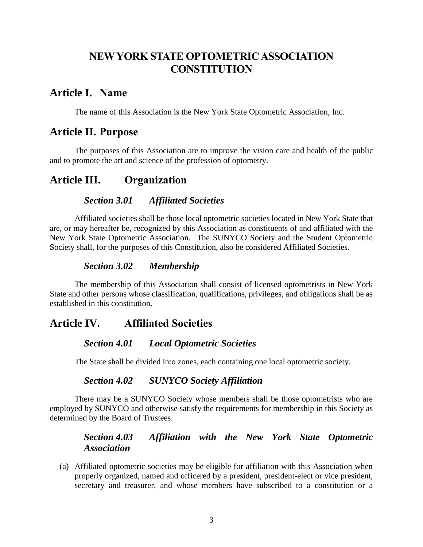# **NEW YORK STATE OPTOMETRIC ASSOCIATION CONSTITUTION**

## <span id="page-3-0"></span>**Article I. Name**

The name of this Association is the New York State Optometric Association, Inc.

## <span id="page-3-1"></span>**Article II. Purpose**

The purposes of this Association are to improve the vision care and health of the public and to promote the art and science of the profession of optometry.

# <span id="page-3-3"></span><span id="page-3-2"></span>**Article III. Organization**

#### *Section 3.01 Affiliated Societies*

Affiliated societies shall be those local optometric societies located in New York State that are, or may hereafter be, recognized by this Association as constituents of and affiliated with the New York State Optometric Association. The SUNYCO Society and the Student Optometric Society shall, for the purposes of this Constitution, also be considered Affiliated Societies.

#### *Section 3.02 Membership*

<span id="page-3-4"></span>The membership of this Association shall consist of licensed optometrists in New York State and other persons whose classification, qualifications, privileges, and obligations shall be as established in this constitution.

## <span id="page-3-6"></span><span id="page-3-5"></span>**Article IV. Affiliated Societies**

#### *Section 4.01 Local Optometric Societies*

The State shall be divided into zones, each containing one local optometric society.

#### *Section 4.02 SUNYCO Society Affiliation*

<span id="page-3-7"></span>There may be a SUNYCO Society whose members shall be those optometrists who are employed by SUNYCO and otherwise satisfy the requirements for membership in this Society as determined by the Board of Trustees.

#### *Section 4.03 Affiliation with the New York State Optometric Association*

<span id="page-3-8"></span>(a) Affiliated optometric societies may be eligible for affiliation with this Association when properly organized, named and officered by a president, president-elect or vice president, secretary and treasurer, and whose members have subscribed to a constitution or a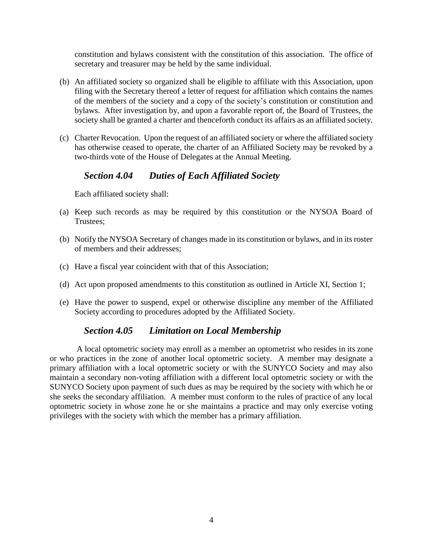constitution and bylaws consistent with the constitution of this association. The office of secretary and treasurer may be held by the same individual.

- (b) An affiliated society so organized shall be eligible to affiliate with this Association, upon filing with the Secretary thereof a letter of request for affiliation which contains the names of the members of the society and a copy of the society's constitution or constitution and bylaws. After investigation by, and upon a favorable report of, the Board of Trustees, the society shall be granted a charter and thenceforth conduct its affairs as an affiliated society.
- (c) Charter Revocation. Upon the request of an affiliated society or where the affiliated society has otherwise ceased to operate, the charter of an Affiliated Society may be revoked by a two-thirds vote of the House of Delegates at the Annual Meeting.

## *Section 4.04 Duties of Each Affiliated Society*

<span id="page-4-0"></span>Each affiliated society shall:

- (a) Keep such records as may be required by this constitution or the NYSOA Board of Trustees;
- (b) Notify the NYSOA Secretary of changes made in its constitution or bylaws, and in its roster of members and their addresses;
- (c) Have a fiscal year coincident with that of this Association;
- (d) Act upon proposed amendments to this constitution as outlined in Article XI, Section 1;
- (e) Have the power to suspend, expel or otherwise discipline any member of the Affiliated Society according to procedures adopted by the Affiliated Society.

#### *Section 4.05 Limitation on Local Membership*

<span id="page-4-1"></span>A local optometric society may enroll as a member an optometrist who resides in its zone or who practices in the zone of another local optometric society. A member may designate a primary affiliation with a local optometric society or with the SUNYCO Society and may also maintain a secondary non-voting affiliation with a different local optometric society or with the SUNYCO Society upon payment of such dues as may be required by the society with which he or she seeks the secondary affiliation. A member must conform to the rules of practice of any local optometric society in whose zone he or she maintains a practice and may only exercise voting privileges with the society with which the member has a primary affiliation.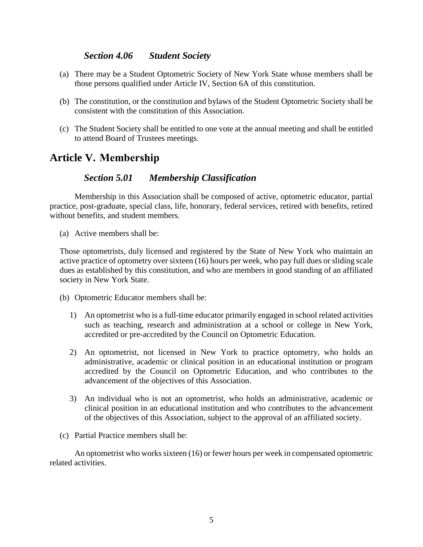#### *Section 4.06 Student Society*

- <span id="page-5-0"></span>(a) There may be a Student Optometric Society of New York State whose members shall be those persons qualified under Article IV, Section 6A of this constitution.
- (b) The constitution, or the constitution and bylaws of the Student Optometric Society shall be consistent with the constitution of this Association.
- (c) The Student Society shall be entitled to one vote at the annual meeting and shall be entitled to attend Board of Trustees meetings.

# <span id="page-5-1"></span>**Article V. Membership**

## *Section 5.01 Membership Classification*

<span id="page-5-2"></span>Membership in this Association shall be composed of active, optometric educator, partial practice, post-graduate, special class, life, honorary, federal services, retired with benefits, retired without benefits, and student members.

(a) Active members shall be:

Those optometrists, duly licensed and registered by the State of New York who maintain an active practice of optometry over sixteen (16) hours per week, who pay full dues or sliding scale dues as established by this constitution, and who are members in good standing of an affiliated society in New York State.

- (b) Optometric Educator members shall be:
	- 1) An optometrist who is a full-time educator primarily engaged in school related activities such as teaching, research and administration at a school or college in New York, accredited or pre-accredited by the Council on Optometric Education.
	- 2) An optometrist, not licensed in New York to practice optometry, who holds an administrative, academic or clinical position in an educational institution or program accredited by the Council on Optometric Education, and who contributes to the advancement of the objectives of this Association.
	- 3) An individual who is not an optometrist, who holds an administrative, academic or clinical position in an educational institution and who contributes to the advancement of the objectives of this Association, subject to the approval of an affiliated society.
- (c) Partial Practice members shall be:

An optometrist who works sixteen (16) or fewer hours per week in compensated optometric related activities.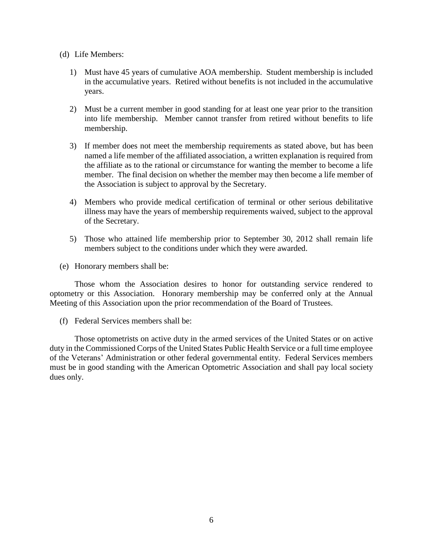- (d) Life Members:
	- 1) Must have 45 years of cumulative AOA membership. Student membership is included in the accumulative years. Retired without benefits is not included in the accumulative years.
	- 2) Must be a current member in good standing for at least one year prior to the transition into life membership. Member cannot transfer from retired without benefits to life membership.
	- 3) If member does not meet the membership requirements as stated above, but has been named a life member of the affiliated association, a written explanation is required from the affiliate as to the rational or circumstance for wanting the member to become a life member. The final decision on whether the member may then become a life member of the Association is subject to approval by the Secretary.
	- 4) Members who provide medical certification of terminal or other serious debilitative illness may have the years of membership requirements waived, subject to the approval of the Secretary.
	- 5) Those who attained life membership prior to September 30, 2012 shall remain life members subject to the conditions under which they were awarded.
- (e) Honorary members shall be:

Those whom the Association desires to honor for outstanding service rendered to optometry or this Association. Honorary membership may be conferred only at the Annual Meeting of this Association upon the prior recommendation of the Board of Trustees.

(f) Federal Services members shall be:

Those optometrists on active duty in the armed services of the United States or on active duty in the Commissioned Corps of the United States Public Health Service or a full time employee of the Veterans' Administration or other federal governmental entity. Federal Services members must be in good standing with the American Optometric Association and shall pay local society dues only.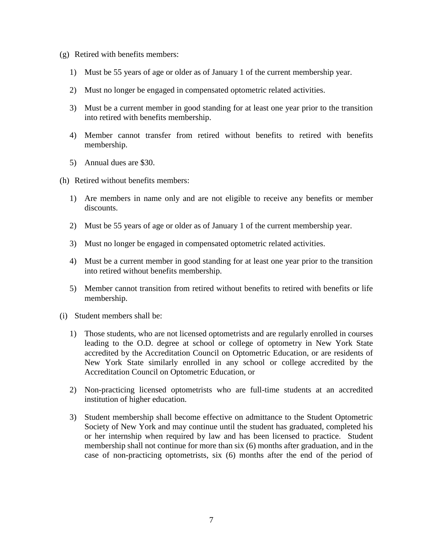- (g) Retired with benefits members:
	- 1) Must be 55 years of age or older as of January 1 of the current membership year.
	- 2) Must no longer be engaged in compensated optometric related activities.
	- 3) Must be a current member in good standing for at least one year prior to the transition into retired with benefits membership.
	- 4) Member cannot transfer from retired without benefits to retired with benefits membership.
	- 5) Annual dues are \$30.
- (h) Retired without benefits members:
	- 1) Are members in name only and are not eligible to receive any benefits or member discounts.
	- 2) Must be 55 years of age or older as of January 1 of the current membership year.
	- 3) Must no longer be engaged in compensated optometric related activities.
	- 4) Must be a current member in good standing for at least one year prior to the transition into retired without benefits membership.
	- 5) Member cannot transition from retired without benefits to retired with benefits or life membership.
- (i) Student members shall be:
	- 1) Those students, who are not licensed optometrists and are regularly enrolled in courses leading to the O.D. degree at school or college of optometry in New York State accredited by the Accreditation Council on Optometric Education, or are residents of New York State similarly enrolled in any school or college accredited by the Accreditation Council on Optometric Education, or
	- 2) Non-practicing licensed optometrists who are full-time students at an accredited institution of higher education.
	- 3) Student membership shall become effective on admittance to the Student Optometric Society of New York and may continue until the student has graduated, completed his or her internship when required by law and has been licensed to practice. Student membership shall not continue for more than six (6) months after graduation, and in the case of non-practicing optometrists, six (6) months after the end of the period of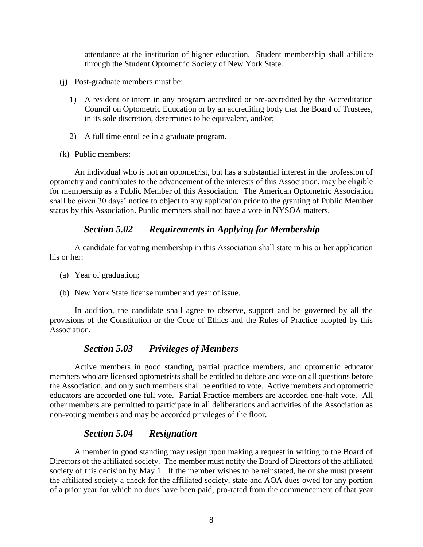attendance at the institution of higher education. Student membership shall affiliate through the Student Optometric Society of New York State.

- (j) Post-graduate members must be:
	- 1) A resident or intern in any program accredited or pre-accredited by the Accreditation Council on Optometric Education or by an accrediting body that the Board of Trustees, in its sole discretion, determines to be equivalent, and/or;
	- 2) A full time enrollee in a graduate program.
- (k) Public members:

An individual who is not an optometrist, but has a substantial interest in the profession of optometry and contributes to the advancement of the interests of this Association, may be eligible for membership as a Public Member of this Association. The American Optometric Association shall be given 30 days' notice to object to any application prior to the granting of Public Member status by this Association. Public members shall not have a vote in NYSOA matters.

## *Section 5.02 Requirements in Applying for Membership*

<span id="page-8-0"></span>A candidate for voting membership in this Association shall state in his or her application his or her:

- (a) Year of graduation;
- (b) New York State license number and year of issue.

In addition, the candidate shall agree to observe, support and be governed by all the provisions of the Constitution or the Code of Ethics and the Rules of Practice adopted by this Association.

## *Section 5.03 Privileges of Members*

<span id="page-8-1"></span>Active members in good standing, partial practice members, and optometric educator members who are licensed optometrists shall be entitled to debate and vote on all questions before the Association, and only such members shall be entitled to vote. Active members and optometric educators are accorded one full vote. Partial Practice members are accorded one-half vote. All other members are permitted to participate in all deliberations and activities of the Association as non-voting members and may be accorded privileges of the floor.

## *Section 5.04 Resignation*

<span id="page-8-2"></span>A member in good standing may resign upon making a request in writing to the Board of Directors of the affiliated society. The member must notify the Board of Directors of the affiliated society of this decision by May 1. If the member wishes to be reinstated, he or she must present the affiliated society a check for the affiliated society, state and AOA dues owed for any portion of a prior year for which no dues have been paid, pro-rated from the commencement of that year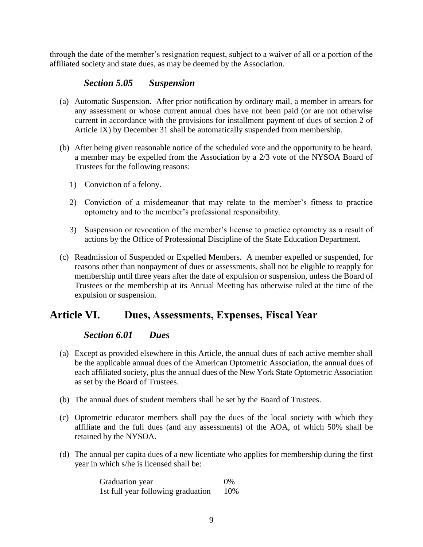through the date of the member's resignation request, subject to a waiver of all or a portion of the affiliated society and state dues, as may be deemed by the Association.

### *Section 5.05 Suspension*

- <span id="page-9-0"></span>(a) Automatic Suspension. After prior notification by ordinary mail, a member in arrears for any assessment or whose current annual dues have not been paid (or are not otherwise current in accordance with the provisions for installment payment of dues of section 2 of Article IX) by December 31 shall be automatically suspended from membership.
- (b) After being given reasonable notice of the scheduled vote and the opportunity to be heard, a member may be expelled from the Association by a 2/3 vote of the NYSOA Board of Trustees for the following reasons:
	- 1) Conviction of a felony.
	- 2) Conviction of a misdemeanor that may relate to the member's fitness to practice optometry and to the member's professional responsibility.
	- 3) Suspension or revocation of the member's license to practice optometry as a result of actions by the Office of Professional Discipline of the State Education Department.
- (c) Readmission of Suspended or Expelled Members. A member expelled or suspended, for reasons other than nonpayment of dues or assessments, shall not be eligible to reapply for membership until three years after the date of expulsion or suspension, unless the Board of Trustees or the membership at its Annual Meeting has otherwise ruled at the time of the expulsion or suspension.

## <span id="page-9-2"></span><span id="page-9-1"></span>**Article VI. Dues, Assessments, Expenses, Fiscal Year**

#### *Section 6.01 Dues*

- (a) Except as provided elsewhere in this Article, the annual dues of each active member shall be the applicable annual dues of the American Optometric Association, the annual dues of each affiliated society, plus the annual dues of the New York State Optometric Association as set by the Board of Trustees.
- (b) The annual dues of student members shall be set by the Board of Trustees.
- (c) Optometric educator members shall pay the dues of the local society with which they affiliate and the full dues (and any assessments) of the AOA, of which 50% shall be retained by the NYSOA.
- (d) The annual per capita dues of a new licentiate who applies for membership during the first year in which s/he is licensed shall be:

Graduation year 0% 1st full year following graduation 10%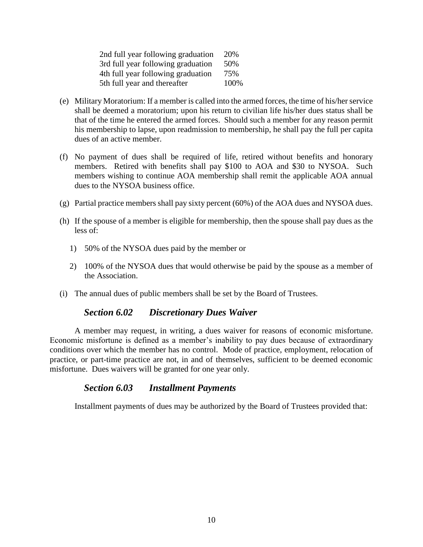| 2nd full year following graduation | 20%  |
|------------------------------------|------|
| 3rd full year following graduation | 50%  |
| 4th full year following graduation | 75%  |
| 5th full year and thereafter       | 100% |

- (e) Military Moratorium: If a member is called into the armed forces, the time of his/her service shall be deemed a moratorium; upon his return to civilian life his/her dues status shall be that of the time he entered the armed forces. Should such a member for any reason permit his membership to lapse, upon readmission to membership, he shall pay the full per capita dues of an active member.
- (f) No payment of dues shall be required of life, retired without benefits and honorary members. Retired with benefits shall pay \$100 to AOA and \$30 to NYSOA. Such members wishing to continue AOA membership shall remit the applicable AOA annual dues to the NYSOA business office.
- (g) Partial practice members shall pay sixty percent (60%) of the AOA dues and NYSOA dues.
- (h) If the spouse of a member is eligible for membership, then the spouse shall pay dues as the less of:
	- 1) 50% of the NYSOA dues paid by the member or
	- 2) 100% of the NYSOA dues that would otherwise be paid by the spouse as a member of the Association.
- <span id="page-10-0"></span>(i) The annual dues of public members shall be set by the Board of Trustees.

#### *Section 6.02 Discretionary Dues Waiver*

A member may request, in writing, a dues waiver for reasons of economic misfortune. Economic misfortune is defined as a member's inability to pay dues because of extraordinary conditions over which the member has no control. Mode of practice, employment, relocation of practice, or part-time practice are not, in and of themselves, sufficient to be deemed economic misfortune. Dues waivers will be granted for one year only.

#### *Section 6.03 Installment Payments*

<span id="page-10-1"></span>Installment payments of dues may be authorized by the Board of Trustees provided that: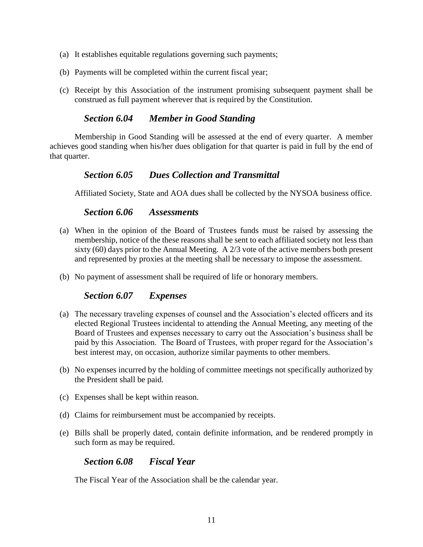- (a) It establishes equitable regulations governing such payments;
- (b) Payments will be completed within the current fiscal year;
- (c) Receipt by this Association of the instrument promising subsequent payment shall be construed as full payment wherever that is required by the Constitution.

#### *Section 6.04 Member in Good Standing*

<span id="page-11-0"></span>Membership in Good Standing will be assessed at the end of every quarter. A member achieves good standing when his/her dues obligation for that quarter is paid in full by the end of that quarter.

#### *Section 6.05 Dues Collection and Transmittal*

<span id="page-11-1"></span>Affiliated Society, State and AOA dues shall be collected by the NYSOA business office.

#### *Section 6.06 Assessments*

- <span id="page-11-2"></span>(a) When in the opinion of the Board of Trustees funds must be raised by assessing the membership, notice of the these reasons shall be sent to each affiliated society not less than sixty (60) days prior to the Annual Meeting. A 2/3 vote of the active members both present and represented by proxies at the meeting shall be necessary to impose the assessment.
- <span id="page-11-3"></span>(b) No payment of assessment shall be required of life or honorary members.

#### *Section 6.07 Expenses*

- (a) The necessary traveling expenses of counsel and the Association's elected officers and its elected Regional Trustees incidental to attending the Annual Meeting, any meeting of the Board of Trustees and expenses necessary to carry out the Association's business shall be paid by this Association. The Board of Trustees, with proper regard for the Association's best interest may, on occasion, authorize similar payments to other members.
- (b) No expenses incurred by the holding of committee meetings not specifically authorized by the President shall be paid.
- (c) Expenses shall be kept within reason.
- (d) Claims for reimbursement must be accompanied by receipts.
- <span id="page-11-4"></span>(e) Bills shall be properly dated, contain definite information, and be rendered promptly in such form as may be required.

#### *Section 6.08 Fiscal Year*

The Fiscal Year of the Association shall be the calendar year.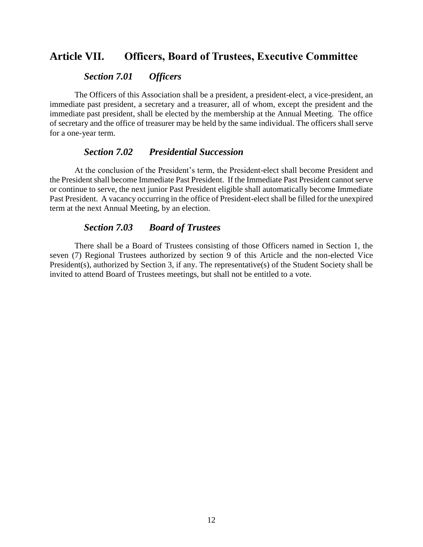## <span id="page-12-1"></span><span id="page-12-0"></span>**Article VII. Officers, Board of Trustees, Executive Committee**

#### *Section 7.01 Officers*

The Officers of this Association shall be a president, a president-elect, a vice-president, an immediate past president, a secretary and a treasurer, all of whom, except the president and the immediate past president, shall be elected by the membership at the Annual Meeting. The office of secretary and the office of treasurer may be held by the same individual. The officers shall serve for a one-year term.

#### *Section 7.02 Presidential Succession*

<span id="page-12-2"></span>At the conclusion of the President's term, the President-elect shall become President and the President shall become Immediate Past President. If the Immediate Past President cannot serve or continue to serve, the next junior Past President eligible shall automatically become Immediate Past President. A vacancy occurring in the office of President-elect shall be filled for the unexpired term at the next Annual Meeting, by an election.

#### *Section 7.03 Board of Trustees*

<span id="page-12-3"></span>There shall be a Board of Trustees consisting of those Officers named in Section 1, the seven (7) Regional Trustees authorized by section 9 of this Article and the non-elected Vice President(s), authorized by Section 3, if any. The representative(s) of the Student Society shall be invited to attend Board of Trustees meetings, but shall not be entitled to a vote.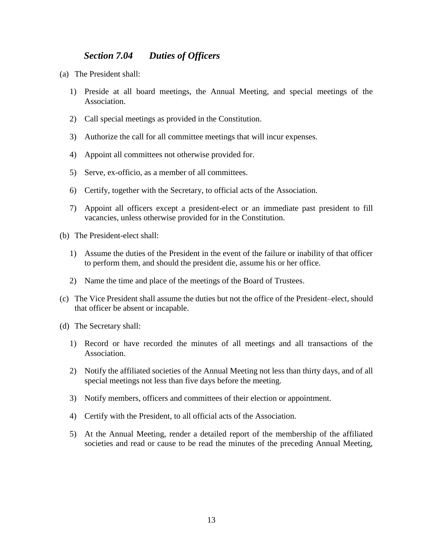#### *Section 7.04 Duties of Officers*

- <span id="page-13-0"></span>(a) The President shall:
	- 1) Preside at all board meetings, the Annual Meeting, and special meetings of the Association.
	- 2) Call special meetings as provided in the Constitution.
	- 3) Authorize the call for all committee meetings that will incur expenses.
	- 4) Appoint all committees not otherwise provided for.
	- 5) Serve, ex-officio, as a member of all committees.
	- 6) Certify, together with the Secretary, to official acts of the Association.
	- 7) Appoint all officers except a president-elect or an immediate past president to fill vacancies, unless otherwise provided for in the Constitution.
- (b) The President-elect shall:
	- 1) Assume the duties of the President in the event of the failure or inability of that officer to perform them, and should the president die, assume his or her office.
	- 2) Name the time and place of the meetings of the Board of Trustees.
- (c) The Vice President shall assume the duties but not the office of the President–elect, should that officer be absent or incapable.
- (d) The Secretary shall:
	- 1) Record or have recorded the minutes of all meetings and all transactions of the Association.
	- 2) Notify the affiliated societies of the Annual Meeting not less than thirty days, and of all special meetings not less than five days before the meeting.
	- 3) Notify members, officers and committees of their election or appointment.
	- 4) Certify with the President, to all official acts of the Association.
	- 5) At the Annual Meeting, render a detailed report of the membership of the affiliated societies and read or cause to be read the minutes of the preceding Annual Meeting,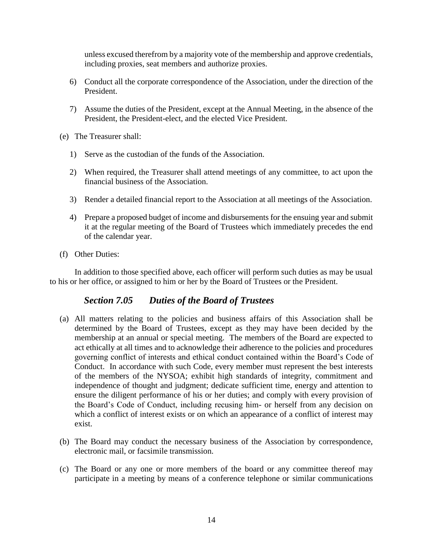unless excused therefrom by a majority vote of the membership and approve credentials, including proxies, seat members and authorize proxies.

- 6) Conduct all the corporate correspondence of the Association, under the direction of the President.
- 7) Assume the duties of the President, except at the Annual Meeting, in the absence of the President, the President-elect, and the elected Vice President.
- (e) The Treasurer shall:
	- 1) Serve as the custodian of the funds of the Association.
	- 2) When required, the Treasurer shall attend meetings of any committee, to act upon the financial business of the Association.
	- 3) Render a detailed financial report to the Association at all meetings of the Association.
	- 4) Prepare a proposed budget of income and disbursements for the ensuing year and submit it at the regular meeting of the Board of Trustees which immediately precedes the end of the calendar year.
- (f) Other Duties:

In addition to those specified above, each officer will perform such duties as may be usual to his or her office, or assigned to him or her by the Board of Trustees or the President.

#### *Section 7.05 Duties of the Board of Trustees*

- <span id="page-14-0"></span>(a) All matters relating to the policies and business affairs of this Association shall be determined by the Board of Trustees, except as they may have been decided by the membership at an annual or special meeting. The members of the Board are expected to act ethically at all times and to acknowledge their adherence to the policies and procedures governing conflict of interests and ethical conduct contained within the Board's Code of Conduct. In accordance with such Code, every member must represent the best interests of the members of the NYSOA; exhibit high standards of integrity, commitment and independence of thought and judgment; dedicate sufficient time, energy and attention to ensure the diligent performance of his or her duties; and comply with every provision of the Board's Code of Conduct, including recusing him- or herself from any decision on which a conflict of interest exists or on which an appearance of a conflict of interest may exist.
- (b) The Board may conduct the necessary business of the Association by correspondence, electronic mail, or facsimile transmission.
- (c) The Board or any one or more members of the board or any committee thereof may participate in a meeting by means of a conference telephone or similar communications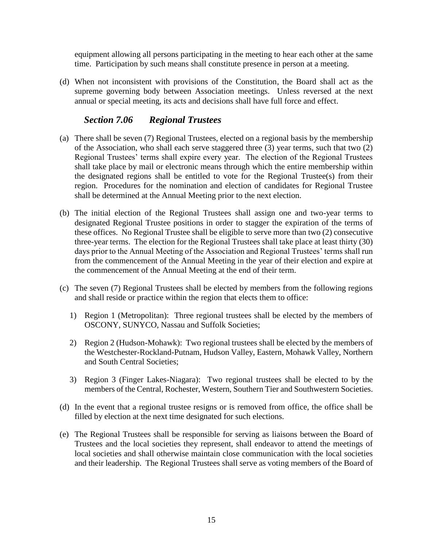equipment allowing all persons participating in the meeting to hear each other at the same time. Participation by such means shall constitute presence in person at a meeting.

(d) When not inconsistent with provisions of the Constitution, the Board shall act as the supreme governing body between Association meetings. Unless reversed at the next annual or special meeting, its acts and decisions shall have full force and effect.

#### *Section 7.06 Regional Trustees*

- <span id="page-15-0"></span>(a) There shall be seven (7) Regional Trustees, elected on a regional basis by the membership of the Association, who shall each serve staggered three (3) year terms, such that two (2) Regional Trustees' terms shall expire every year. The election of the Regional Trustees shall take place by mail or electronic means through which the entire membership within the designated regions shall be entitled to vote for the Regional Trustee(s) from their region. Procedures for the nomination and election of candidates for Regional Trustee shall be determined at the Annual Meeting prior to the next election.
- (b) The initial election of the Regional Trustees shall assign one and two-year terms to designated Regional Trustee positions in order to stagger the expiration of the terms of these offices. No Regional Trustee shall be eligible to serve more than two (2) consecutive three-year terms. The election for the Regional Trustees shall take place at least thirty (30) days prior to the Annual Meeting of the Association and Regional Trustees' terms shall run from the commencement of the Annual Meeting in the year of their election and expire at the commencement of the Annual Meeting at the end of their term.
- (c) The seven (7) Regional Trustees shall be elected by members from the following regions and shall reside or practice within the region that elects them to office:
	- 1) Region 1 (Metropolitan): Three regional trustees shall be elected by the members of OSCONY, SUNYCO, Nassau and Suffolk Societies;
	- 2) Region 2 (Hudson-Mohawk): Two regional trustees shall be elected by the members of the Westchester-Rockland-Putnam, Hudson Valley, Eastern, Mohawk Valley, Northern and South Central Societies;
	- 3) Region 3 (Finger Lakes-Niagara): Two regional trustees shall be elected to by the members of the Central, Rochester, Western, Southern Tier and Southwestern Societies.
- (d) In the event that a regional trustee resigns or is removed from office, the office shall be filled by election at the next time designated for such elections.
- (e) The Regional Trustees shall be responsible for serving as liaisons between the Board of Trustees and the local societies they represent, shall endeavor to attend the meetings of local societies and shall otherwise maintain close communication with the local societies and their leadership. The Regional Trustees shall serve as voting members of the Board of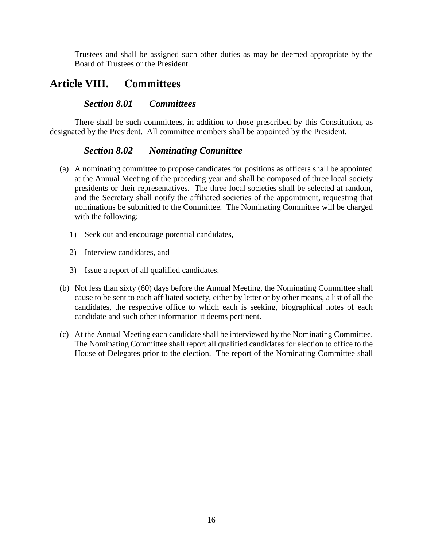Trustees and shall be assigned such other duties as may be deemed appropriate by the Board of Trustees or the President.

## <span id="page-16-1"></span><span id="page-16-0"></span>**Article VIII. Committees**

#### *Section 8.01 Committees*

There shall be such committees, in addition to those prescribed by this Constitution, as designated by the President. All committee members shall be appointed by the President.

#### *Section 8.02 Nominating Committee*

- <span id="page-16-2"></span>(a) A nominating committee to propose candidates for positions as officers shall be appointed at the Annual Meeting of the preceding year and shall be composed of three local society presidents or their representatives. The three local societies shall be selected at random, and the Secretary shall notify the affiliated societies of the appointment, requesting that nominations be submitted to the Committee. The Nominating Committee will be charged with the following:
	- 1) Seek out and encourage potential candidates,
	- 2) Interview candidates, and
	- 3) Issue a report of all qualified candidates.
- (b) Not less than sixty (60) days before the Annual Meeting, the Nominating Committee shall cause to be sent to each affiliated society, either by letter or by other means, a list of all the candidates, the respective office to which each is seeking, biographical notes of each candidate and such other information it deems pertinent.
- (c) At the Annual Meeting each candidate shall be interviewed by the Nominating Committee. The Nominating Committee shall report all qualified candidates for election to office to the House of Delegates prior to the election. The report of the Nominating Committee shall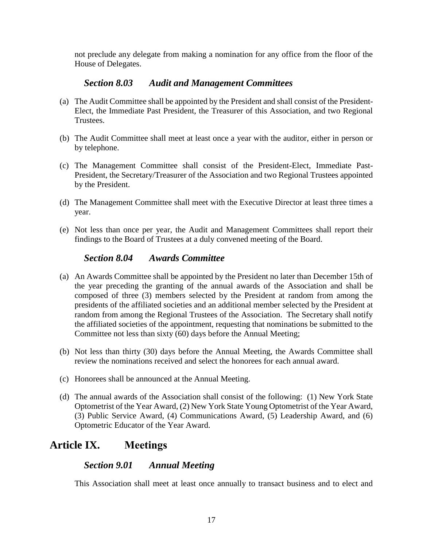not preclude any delegate from making a nomination for any office from the floor of the House of Delegates.

#### *Section 8.03 Audit and Management Committees*

- <span id="page-17-0"></span>(a) The Audit Committee shall be appointed by the President and shall consist of the President-Elect, the Immediate Past President, the Treasurer of this Association, and two Regional Trustees.
- (b) The Audit Committee shall meet at least once a year with the auditor, either in person or by telephone.
- (c) The Management Committee shall consist of the President-Elect, Immediate Past-President, the Secretary/Treasurer of the Association and two Regional Trustees appointed by the President.
- (d) The Management Committee shall meet with the Executive Director at least three times a year.
- (e) Not less than once per year, the Audit and Management Committees shall report their findings to the Board of Trustees at a duly convened meeting of the Board.

#### *Section 8.04 Awards Committee*

- <span id="page-17-1"></span>(a) An Awards Committee shall be appointed by the President no later than December 15th of the year preceding the granting of the annual awards of the Association and shall be composed of three (3) members selected by the President at random from among the presidents of the affiliated societies and an additional member selected by the President at random from among the Regional Trustees of the Association. The Secretary shall notify the affiliated societies of the appointment, requesting that nominations be submitted to the Committee not less than sixty (60) days before the Annual Meeting;
- (b) Not less than thirty (30) days before the Annual Meeting, the Awards Committee shall review the nominations received and select the honorees for each annual award.
- (c) Honorees shall be announced at the Annual Meeting.
- (d) The annual awards of the Association shall consist of the following: (1) New York State Optometrist of the Year Award, (2) New York State Young Optometrist of the Year Award, (3) Public Service Award, (4) Communications Award, (5) Leadership Award, and (6) Optometric Educator of the Year Award.

# <span id="page-17-3"></span><span id="page-17-2"></span>**Article IX. Meetings**

#### *Section 9.01 Annual Meeting*

This Association shall meet at least once annually to transact business and to elect and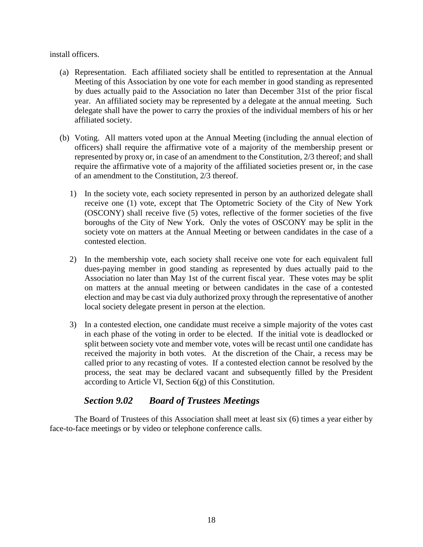install officers.

- (a) Representation. Each affiliated society shall be entitled to representation at the Annual Meeting of this Association by one vote for each member in good standing as represented by dues actually paid to the Association no later than December 31st of the prior fiscal year. An affiliated society may be represented by a delegate at the annual meeting. Such delegate shall have the power to carry the proxies of the individual members of his or her affiliated society.
- (b) Voting. All matters voted upon at the Annual Meeting (including the annual election of officers) shall require the affirmative vote of a majority of the membership present or represented by proxy or, in case of an amendment to the Constitution, 2/3 thereof; and shall require the affirmative vote of a majority of the affiliated societies present or, in the case of an amendment to the Constitution, 2/3 thereof.
	- 1) In the society vote, each society represented in person by an authorized delegate shall receive one (1) vote, except that The Optometric Society of the City of New York (OSCONY) shall receive five (5) votes, reflective of the former societies of the five boroughs of the City of New York. Only the votes of OSCONY may be split in the society vote on matters at the Annual Meeting or between candidates in the case of a contested election.
	- 2) In the membership vote, each society shall receive one vote for each equivalent full dues-paying member in good standing as represented by dues actually paid to the Association no later than May 1st of the current fiscal year. These votes may be split on matters at the annual meeting or between candidates in the case of a contested election and may be cast via duly authorized proxy through the representative of another local society delegate present in person at the election.
	- 3) In a contested election, one candidate must receive a simple majority of the votes cast in each phase of the voting in order to be elected. If the initial vote is deadlocked or split between society vote and member vote, votes will be recast until one candidate has received the majority in both votes. At the discretion of the Chair, a recess may be called prior to any recasting of votes. If a contested election cannot be resolved by the process, the seat may be declared vacant and subsequently filled by the President according to Article VI, Section 6(g) of this Constitution.

## *Section 9.02 Board of Trustees Meetings*

<span id="page-18-0"></span>The Board of Trustees of this Association shall meet at least six (6) times a year either by face-to-face meetings or by video or telephone conference calls.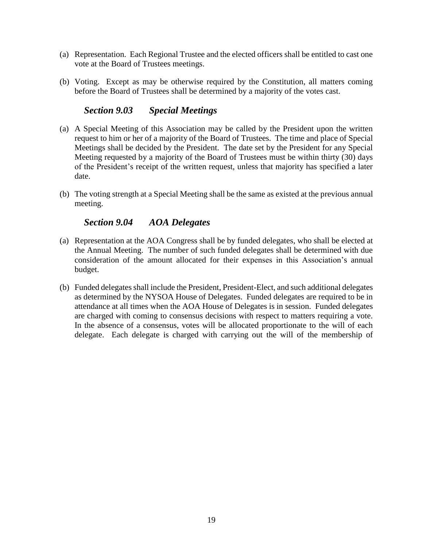- (a) Representation. Each Regional Trustee and the elected officers shall be entitled to cast one vote at the Board of Trustees meetings.
- (b) Voting. Except as may be otherwise required by the Constitution, all matters coming before the Board of Trustees shall be determined by a majority of the votes cast.

#### *Section 9.03 Special Meetings*

- <span id="page-19-0"></span>(a) A Special Meeting of this Association may be called by the President upon the written request to him or her of a majority of the Board of Trustees. The time and place of Special Meetings shall be decided by the President. The date set by the President for any Special Meeting requested by a majority of the Board of Trustees must be within thirty (30) days of the President's receipt of the written request, unless that majority has specified a later date.
- (b) The voting strength at a Special Meeting shall be the same as existed at the previous annual meeting.

#### *Section 9.04 AOA Delegates*

- <span id="page-19-1"></span>(a) Representation at the AOA Congress shall be by funded delegates, who shall be elected at the Annual Meeting. The number of such funded delegates shall be determined with due consideration of the amount allocated for their expenses in this Association's annual budget.
- (b) Funded delegates shall include the President, President-Elect, and such additional delegates as determined by the NYSOA House of Delegates. Funded delegates are required to be in attendance at all times when the AOA House of Delegates is in session. Funded delegates are charged with coming to consensus decisions with respect to matters requiring a vote. In the absence of a consensus, votes will be allocated proportionate to the will of each delegate. Each delegate is charged with carrying out the will of the membership of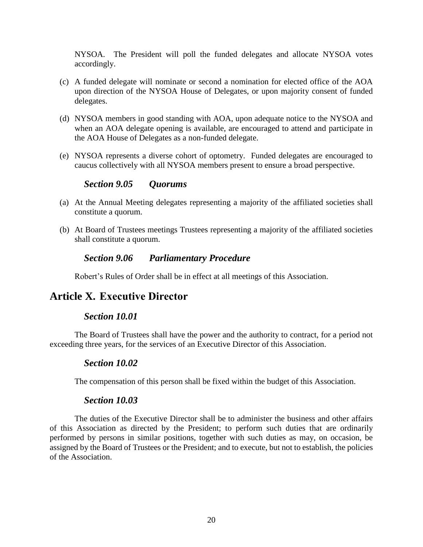NYSOA. The President will poll the funded delegates and allocate NYSOA votes accordingly.

- (c) A funded delegate will nominate or second a nomination for elected office of the AOA upon direction of the NYSOA House of Delegates, or upon majority consent of funded delegates.
- (d) NYSOA members in good standing with AOA, upon adequate notice to the NYSOA and when an AOA delegate opening is available, are encouraged to attend and participate in the AOA House of Delegates as a non-funded delegate.
- (e) NYSOA represents a diverse cohort of optometry. Funded delegates are encouraged to caucus collectively with all NYSOA members present to ensure a broad perspective.

#### *Section 9.05 Quorums*

- <span id="page-20-0"></span>(a) At the Annual Meeting delegates representing a majority of the affiliated societies shall constitute a quorum.
- <span id="page-20-1"></span>(b) At Board of Trustees meetings Trustees representing a majority of the affiliated societies shall constitute a quorum.

#### *Section 9.06 Parliamentary Procedure*

Robert's Rules of Order shall be in effect at all meetings of this Association.

## <span id="page-20-3"></span><span id="page-20-2"></span>**Article X. Executive Director**

#### *Section 10.01*

<span id="page-20-4"></span>The Board of Trustees shall have the power and the authority to contract, for a period not exceeding three years, for the services of an Executive Director of this Association.

#### *Section 10.02*

The compensation of this person shall be fixed within the budget of this Association.

#### *Section 10.03*

<span id="page-20-5"></span>The duties of the Executive Director shall be to administer the business and other affairs of this Association as directed by the President; to perform such duties that are ordinarily performed by persons in similar positions, together with such duties as may, on occasion, be assigned by the Board of Trustees or the President; and to execute, but not to establish, the policies of the Association.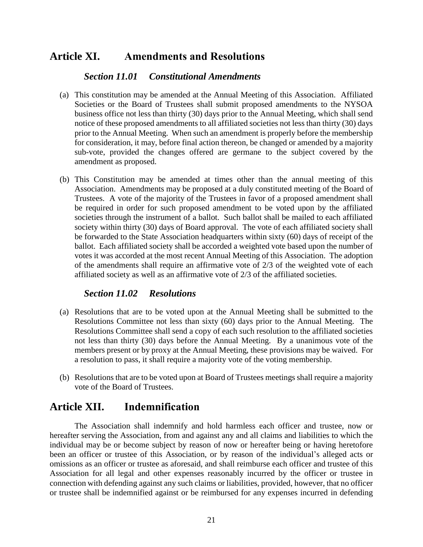# <span id="page-21-1"></span><span id="page-21-0"></span>**Article XI. Amendments and Resolutions**

#### *Section 11.01 Constitutional Amendments*

- (a) This constitution may be amended at the Annual Meeting of this Association. Affiliated Societies or the Board of Trustees shall submit proposed amendments to the NYSOA business office not less than thirty (30) days prior to the Annual Meeting, which shall send notice of these proposed amendments to all affiliated societies not less than thirty (30) days prior to the Annual Meeting. When such an amendment is properly before the membership for consideration, it may, before final action thereon, be changed or amended by a majority sub-vote, provided the changes offered are germane to the subject covered by the amendment as proposed.
- (b) This Constitution may be amended at times other than the annual meeting of this Association. Amendments may be proposed at a duly constituted meeting of the Board of Trustees. A vote of the majority of the Trustees in favor of a proposed amendment shall be required in order for such proposed amendment to be voted upon by the affiliated societies through the instrument of a ballot. Such ballot shall be mailed to each affiliated society within thirty (30) days of Board approval. The vote of each affiliated society shall be forwarded to the State Association headquarters within sixty (60) days of receipt of the ballot. Each affiliated society shall be accorded a weighted vote based upon the number of votes it was accorded at the most recent Annual Meeting of this Association. The adoption of the amendments shall require an affirmative vote of 2/3 of the weighted vote of each affiliated society as well as an affirmative vote of 2/3 of the affiliated societies.

#### *Section 11.02 Resolutions*

- <span id="page-21-2"></span>(a) Resolutions that are to be voted upon at the Annual Meeting shall be submitted to the Resolutions Committee not less than sixty (60) days prior to the Annual Meeting. The Resolutions Committee shall send a copy of each such resolution to the affiliated societies not less than thirty (30) days before the Annual Meeting. By a unanimous vote of the members present or by proxy at the Annual Meeting, these provisions may be waived. For a resolution to pass, it shall require a majority vote of the voting membership.
- (b) Resolutions that are to be voted upon at Board of Trustees meetings shall require a majority vote of the Board of Trustees.

## <span id="page-21-3"></span>**Article XII. Indemnification**

The Association shall indemnify and hold harmless each officer and trustee, now or hereafter serving the Association, from and against any and all claims and liabilities to which the individual may be or become subject by reason of now or hereafter being or having heretofore been an officer or trustee of this Association, or by reason of the individual's alleged acts or omissions as an officer or trustee as aforesaid, and shall reimburse each officer and trustee of this Association for all legal and other expenses reasonably incurred by the officer or trustee in connection with defending against any such claims or liabilities, provided, however, that no officer or trustee shall be indemnified against or be reimbursed for any expenses incurred in defending